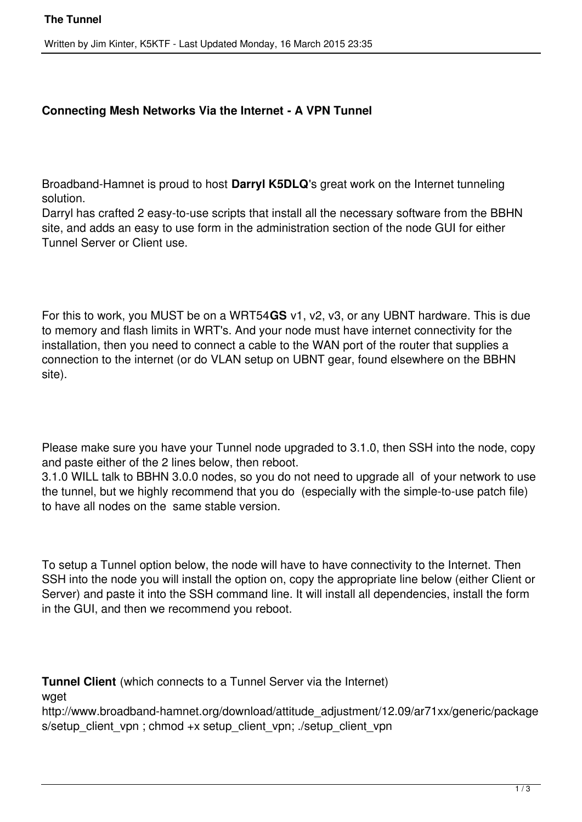## **Connecting Mesh Networks Via the Internet - A VPN Tunnel**

Broadband-Hamnet is proud to host **Darryl K5DLQ**'s great work on the Internet tunneling solution.

Darryl has crafted 2 easy-to-use scripts that install all the necessary software from the BBHN site, and adds an easy to use form in the administration section of the node GUI for either Tunnel Server or Client use.

For this to work, you MUST be on a WRT54**GS** v1, v2, v3, or any UBNT hardware. This is due to memory and flash limits in WRT's. And your node must have internet connectivity for the installation, then you need to connect a cable to the WAN port of the router that supplies a connection to the internet (or do VLAN setup on UBNT gear, found elsewhere on the BBHN site).

Please make sure you have your Tunnel node upgraded to 3.1.0, then SSH into the node, copy and paste either of the 2 lines below, then reboot.

3.1.0 WILL talk to BBHN 3.0.0 nodes, so you do not need to upgrade all of your network to use the tunnel, but we highly recommend that you do (especially with the simple-to-use patch file) to have all nodes on the same stable version.

To setup a Tunnel option below, the node will have to have connectivity to the Internet. Then SSH into the node you will install the option on, copy the appropriate line below (either Client or Server) and paste it into the SSH command line. It will install all dependencies, install the form in the GUI, and then we recommend you reboot.

**Tunnel Client** (which connects to a Tunnel Server via the Internet)

waet

http://www.broadband-hamnet.org/download/attitude\_adjustment/12.09/ar71xx/generic/package s/setup\_client\_vpn ; chmod +x setup\_client\_vpn; ./setup\_client\_vpn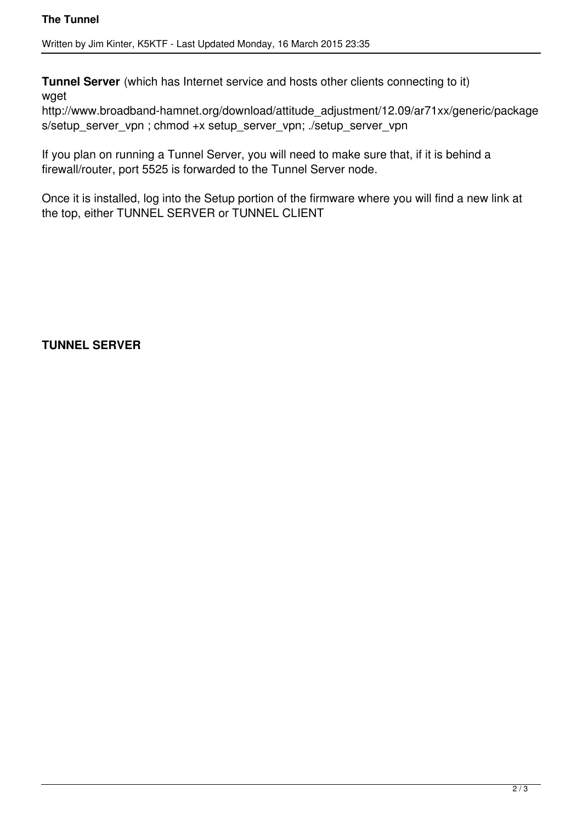Written by Jim Kinter, K5KTF - Last Updated Monday, 16 March 2015 23:35

**Tunnel Server** (which has Internet service and hosts other clients connecting to it) wget

http://www.broadband-hamnet.org/download/attitude\_adjustment/12.09/ar71xx/generic/package s/setup\_server\_vpn ; chmod +x setup\_server\_vpn; ./setup\_server\_vpn

If you plan on running a Tunnel Server, you will need to make sure that, if it is behind a firewall/router, port 5525 is forwarded to the Tunnel Server node.

Once it is installed, log into the Setup portion of the firmware where you will find a new link at the top, either TUNNEL SERVER or TUNNEL CLIENT

**TUNNEL SERVER**